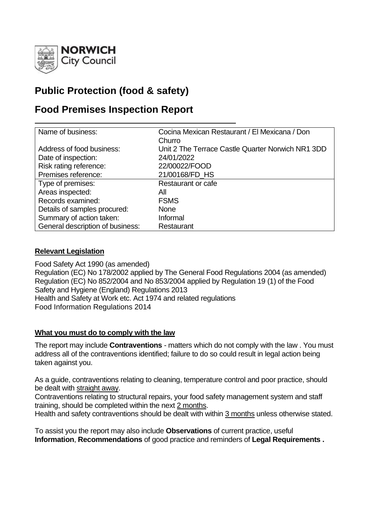

# **Public Protection (food & safety)**

# **Food Premises Inspection Report**

| Name of business:                | Cocina Mexican Restaurant / El Mexicana / Don     |
|----------------------------------|---------------------------------------------------|
|                                  | Churro                                            |
| Address of food business:        | Unit 2 The Terrace Castle Quarter Norwich NR1 3DD |
| Date of inspection:              | 24/01/2022                                        |
| Risk rating reference:           | 22/00022/FOOD                                     |
| Premises reference:              | 21/00168/FD HS                                    |
| Type of premises:                | Restaurant or cafe                                |
| Areas inspected:                 | All                                               |
| Records examined:                | <b>FSMS</b>                                       |
| Details of samples procured:     | <b>None</b>                                       |
| Summary of action taken:         | Informal                                          |
| General description of business: | Restaurant                                        |

# **Relevant Legislation**

Food Safety Act 1990 (as amended) Regulation (EC) No 178/2002 applied by The General Food Regulations 2004 (as amended) Regulation (EC) No 852/2004 and No 853/2004 applied by Regulation 19 (1) of the Food Safety and Hygiene (England) Regulations 2013 Health and Safety at Work etc. Act 1974 and related regulations Food Information Regulations 2014

#### **What you must do to comply with the law**

The report may include **Contraventions** - matters which do not comply with the law . You must address all of the contraventions identified; failure to do so could result in legal action being taken against you.

As a guide, contraventions relating to cleaning, temperature control and poor practice, should be dealt with straight away.

Contraventions relating to structural repairs, your food safety management system and staff training, should be completed within the next 2 months.

Health and safety contraventions should be dealt with within 3 months unless otherwise stated.

To assist you the report may also include **Observations** of current practice, useful **Information**, **Recommendations** of good practice and reminders of **Legal Requirements .**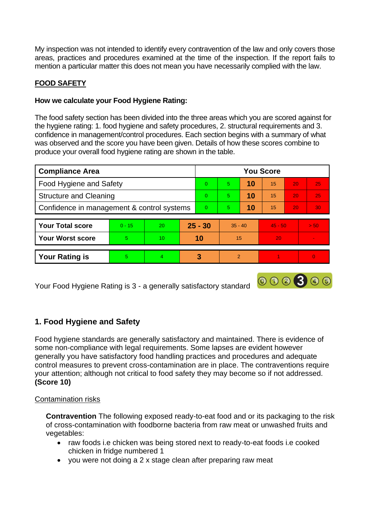My inspection was not intended to identify every contravention of the law and only covers those areas, practices and procedures examined at the time of the inspection. If the report fails to mention a particular matter this does not mean you have necessarily complied with the law.

# **FOOD SAFETY**

# **How we calculate your Food Hygiene Rating:**

The food safety section has been divided into the three areas which you are scored against for the hygiene rating: 1. food hygiene and safety procedures, 2. structural requirements and 3. confidence in management/control procedures. Each section begins with a summary of what was observed and the score you have been given. Details of how these scores combine to produce your overall food hygiene rating are shown in the table.

| <b>Compliance Area</b>                     |          |                 | <b>You Score</b> |          |               |    |           |    |          |  |
|--------------------------------------------|----------|-----------------|------------------|----------|---------------|----|-----------|----|----------|--|
| Food Hygiene and Safety                    |          |                 |                  | $\Omega$ | 5.            | 10 | 15        | 20 | 25       |  |
| <b>Structure and Cleaning</b>              |          |                 | $\Omega$         | 5.       | 10            | 15 | 20        | 25 |          |  |
| Confidence in management & control systems |          |                 | $\overline{0}$   | 5.       | 10            | 15 | 20        | 30 |          |  |
|                                            |          |                 |                  |          |               |    |           |    |          |  |
| <b>Your Total score</b>                    | $0 - 15$ | 20              | $25 - 30$        |          | $35 - 40$     |    | $45 - 50$ |    | > 50     |  |
| <b>Your Worst score</b>                    | 5        | 10 <sup>°</sup> | 10               |          | 15            |    | 20        |    |          |  |
|                                            |          |                 |                  |          |               |    |           |    |          |  |
| <b>Your Rating is</b>                      | 5        | 4               |                  | 3        | $\mathcal{P}$ |    |           |    | $\Omega$ |  |

000300

Your Food Hygiene Rating is 3 - a generally satisfactory standard

# **1. Food Hygiene and Safety**

Food hygiene standards are generally satisfactory and maintained. There is evidence of some non-compliance with legal requirements. Some lapses are evident however generally you have satisfactory food handling practices and procedures and adequate control measures to prevent cross-contamination are in place. The contraventions require your attention; although not critical to food safety they may become so if not addressed. **(Score 10)**

# Contamination risks

**Contravention** The following exposed ready-to-eat food and or its packaging to the risk of cross-contamination with foodborne bacteria from raw meat or unwashed fruits and vegetables:

- raw foods i.e chicken was being stored next to ready-to-eat foods i.e cooked chicken in fridge numbered 1
- you were not doing a 2 x stage clean after preparing raw meat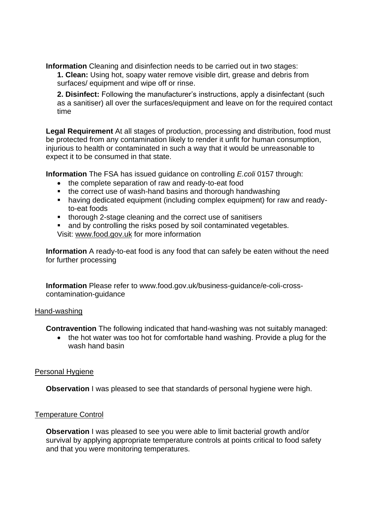**Information** Cleaning and disinfection needs to be carried out in two stages:

**1. Clean:** Using hot, soapy water remove visible dirt, grease and debris from surfaces/ equipment and wipe off or rinse.

**2. Disinfect:** Following the manufacturer's instructions, apply a disinfectant (such as a sanitiser) all over the surfaces/equipment and leave on for the required contact time

**Legal Requirement** At all stages of production, processing and distribution, food must be protected from any contamination likely to render it unfit for human consumption, injurious to health or contaminated in such a way that it would be unreasonable to expect it to be consumed in that state.

**Information** The FSA has issued guidance on controlling *E.coli* 0157 through:

- the complete separation of raw and ready-to-eat food
- the correct use of wash-hand basins and thorough handwashing
- having dedicated equipment (including complex equipment) for raw and readyto-eat foods
- thorough 2-stage cleaning and the correct use of sanitisers
- and by controlling the risks posed by soil contaminated vegetables. Visit: [www.food.gov.uk](http://www.food.gov.uk/) for more information

**Information** A ready-to-eat food is any food that can safely be eaten without the need for further processing

**Information** Please refer to www.food.gov.uk/business-guidance/e-coli-crosscontamination-guidance

#### Hand-washing

**Contravention** The following indicated that hand-washing was not suitably managed:

• the hot water was too hot for comfortable hand washing. Provide a plug for the wash hand basin

# Personal Hygiene

**Observation** I was pleased to see that standards of personal hygiene were high.

# Temperature Control

**Observation** I was pleased to see you were able to limit bacterial growth and/or survival by applying appropriate temperature controls at points critical to food safety and that you were monitoring temperatures.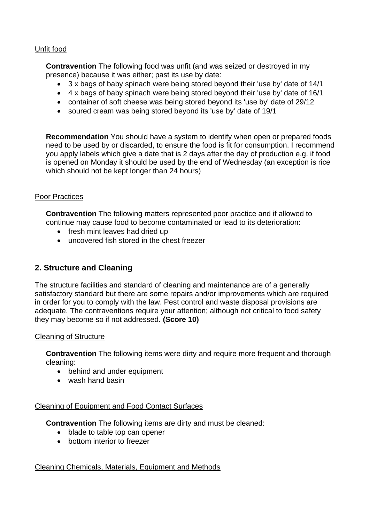## Unfit food

**Contravention** The following food was unfit (and was seized or destroyed in my presence) because it was either; past its use by date:

- 3 x bags of baby spinach were being stored beyond their 'use by' date of 14/1
- 4 x bags of baby spinach were being stored beyond their 'use by' date of 16/1
- container of soft cheese was being stored beyond its 'use by' date of 29/12
- soured cream was being stored beyond its 'use by' date of 19/1

**Recommendation** You should have a system to identify when open or prepared foods need to be used by or discarded, to ensure the food is fit for consumption. I recommend you apply labels which give a date that is 2 days after the day of production e.g. if food is opened on Monday it should be used by the end of Wednesday (an exception is rice which should not be kept longer than 24 hours)

#### Poor Practices

**Contravention** The following matters represented poor practice and if allowed to continue may cause food to become contaminated or lead to its deterioration:

- fresh mint leaves had dried up
- uncovered fish stored in the chest freezer

# **2. Structure and Cleaning**

The structure facilities and standard of cleaning and maintenance are of a generally satisfactory standard but there are some repairs and/or improvements which are required in order for you to comply with the law. Pest control and waste disposal provisions are adequate. The contraventions require your attention; although not critical to food safety they may become so if not addressed. **(Score 10)**

#### Cleaning of Structure

**Contravention** The following items were dirty and require more frequent and thorough cleaning:

- behind and under equipment
- wash hand basin

#### Cleaning of Equipment and Food Contact Surfaces

**Contravention** The following items are dirty and must be cleaned:

- blade to table top can opener
- bottom interior to freezer

#### Cleaning Chemicals, Materials, Equipment and Methods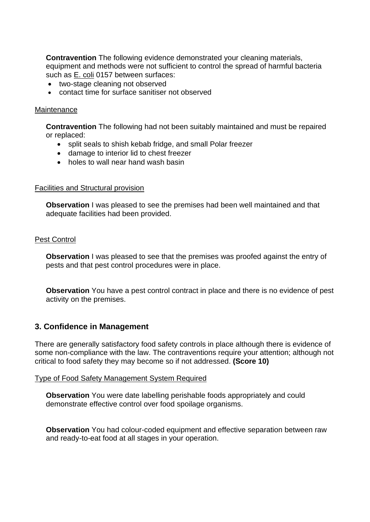**Contravention** The following evidence demonstrated your cleaning materials, equipment and methods were not sufficient to control the spread of harmful bacteria such as E. coli 0157 between surfaces:

- two-stage cleaning not observed
- contact time for surface sanitiser not observed

#### **Maintenance**

**Contravention** The following had not been suitably maintained and must be repaired or replaced:

- split seals to shish kebab fridge, and small Polar freezer
- damage to interior lid to chest freezer
- holes to wall near hand wash basin

#### Facilities and Structural provision

**Observation** I was pleased to see the premises had been well maintained and that adequate facilities had been provided.

#### Pest Control

**Observation** I was pleased to see that the premises was proofed against the entry of pests and that pest control procedures were in place.

**Observation** You have a pest control contract in place and there is no evidence of pest activity on the premises.

#### **3. Confidence in Management**

There are generally satisfactory food safety controls in place although there is evidence of some non-compliance with the law. The contraventions require your attention; although not critical to food safety they may become so if not addressed. **(Score 10)**

#### Type of Food Safety Management System Required

**Observation** You were date labelling perishable foods appropriately and could demonstrate effective control over food spoilage organisms.

**Observation** You had colour-coded equipment and effective separation between raw and ready-to-eat food at all stages in your operation.